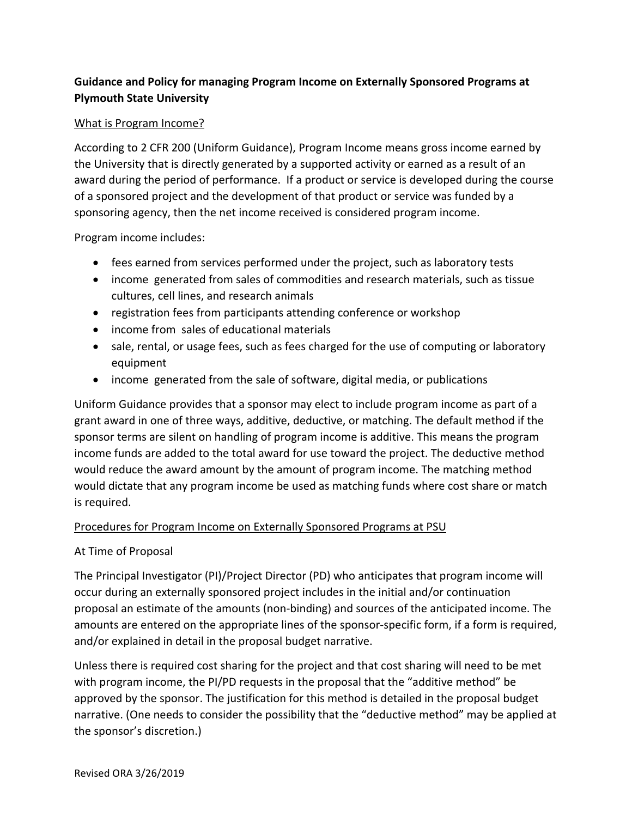# **Guidance and Policy for managing Program Income on Externally Sponsored Programs at Plymouth State University**

## What is Program Income?

According to 2 CFR 200 (Uniform Guidance), Program Income means gross income earned by the University that is directly generated by a supported activity or earned as a result of an award during the period of performance. If a product or service is developed during the course of a sponsored project and the development of that product or service was funded by a sponsoring agency, then the net income received is considered program income.

Program income includes:

- fees earned from services performed under the project, such as laboratory tests
- income generated from sales of commodities and research materials, such as tissue cultures, cell lines, and research animals
- registration fees from participants attending conference or workshop
- income from sales of educational materials
- sale, rental, or usage fees, such as fees charged for the use of computing or laboratory equipment
- income generated from the sale of software, digital media, or publications

Uniform Guidance provides that a sponsor may elect to include program income as part of a grant award in one of three ways, additive, deductive, or matching. The default method if the sponsor terms are silent on handling of program income is additive. This means the program income funds are added to the total award for use toward the project. The deductive method would reduce the award amount by the amount of program income. The matching method would dictate that any program income be used as matching funds where cost share or match is required.

## Procedures for Program Income on Externally Sponsored Programs at PSU

#### At Time of Proposal

The Principal Investigator (PI)/Project Director (PD) who anticipates that program income will occur during an externally sponsored project includes in the initial and/or continuation proposal an estimate of the amounts (non‐binding) and sources of the anticipated income. The amounts are entered on the appropriate lines of the sponsor‐specific form, if a form is required, and/or explained in detail in the proposal budget narrative.

Unless there is required cost sharing for the project and that cost sharing will need to be met with program income, the PI/PD requests in the proposal that the "additive method" be approved by the sponsor. The justification for this method is detailed in the proposal budget narrative. (One needs to consider the possibility that the "deductive method" may be applied at the sponsor's discretion.)